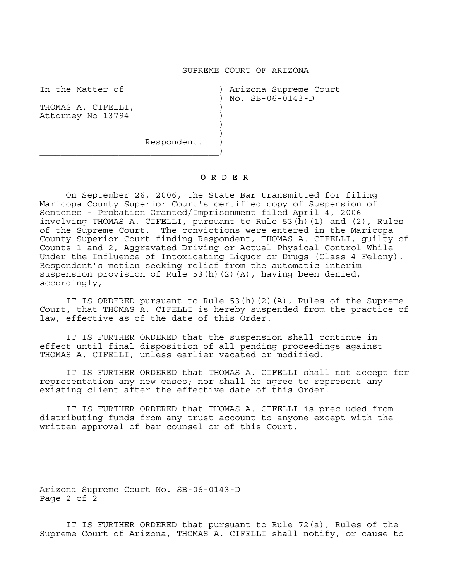## SUPREME COURT OF ARIZONA

In the Matter of ) Arizona Supreme Court ) No. SB-06-0143-D

THOMAS A. CIFELLI, Attorney No 13794 (1988) )

Respondent.  $\overline{\phantom{a}}$ 

 $)$ 

## **O R D E R**

 On September 26, 2006, the State Bar transmitted for filing Maricopa County Superior Court's certified copy of Suspension of Sentence - Probation Granted/Imprisonment filed April 4, 2006 involving THOMAS A. CIFELLI, pursuant to Rule 53(h)(1) and (2), Rules of the Supreme Court. The convictions were entered in the Maricopa County Superior Court finding Respondent, THOMAS A. CIFELLI, guilty of Counts 1 and 2, Aggravated Driving or Actual Physical Control While Under the Influence of Intoxicating Liquor or Drugs (Class 4 Felony). Respondent's motion seeking relief from the automatic interim suspension provision of Rule 53(h)(2)(A), having been denied, accordingly,

 IT IS ORDERED pursuant to Rule 53(h)(2)(A), Rules of the Supreme Court, that THOMAS A. CIFELLI is hereby suspended from the practice of law, effective as of the date of this Order.

 IT IS FURTHER ORDERED that the suspension shall continue in effect until final disposition of all pending proceedings against THOMAS A. CIFELLI, unless earlier vacated or modified.

 IT IS FURTHER ORDERED that THOMAS A. CIFELLI shall not accept for representation any new cases; nor shall he agree to represent any existing client after the effective date of this Order.

 IT IS FURTHER ORDERED that THOMAS A. CIFELLI is precluded from distributing funds from any trust account to anyone except with the written approval of bar counsel or of this Court.

Arizona Supreme Court No. SB-06-0143-D Page 2 of 2

 IT IS FURTHER ORDERED that pursuant to Rule 72(a), Rules of the Supreme Court of Arizona, THOMAS A. CIFELLI shall notify, or cause to